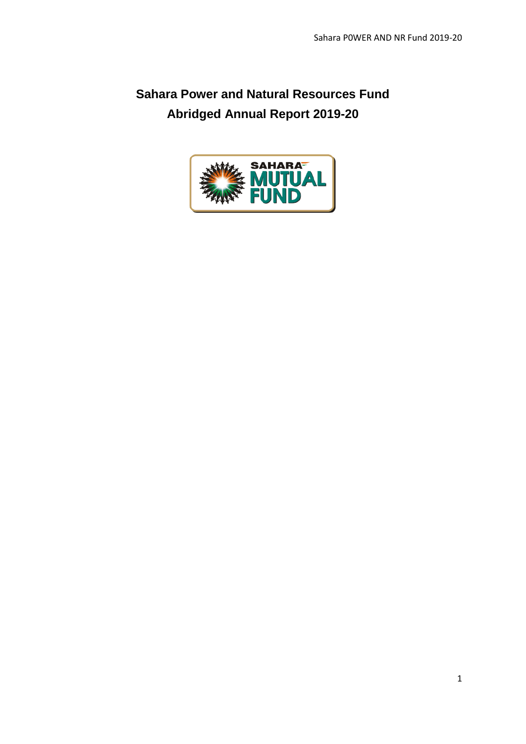# **Sahara Power and Natural Resources Fund Abridged Annual Report 2019-20**

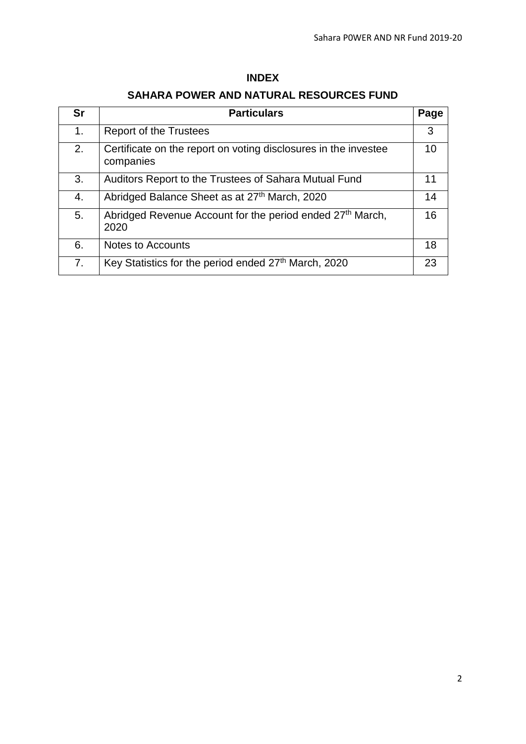# **INDEX**

# **SAHARA POWER AND NATURAL RESOURCES FUND**

| <b>Sr</b> | <b>Particulars</b>                                                            | Page |
|-----------|-------------------------------------------------------------------------------|------|
| 1.        | <b>Report of the Trustees</b>                                                 | 3    |
| 2.        | Certificate on the report on voting disclosures in the investee<br>companies  | 10   |
| 3.        | Auditors Report to the Trustees of Sahara Mutual Fund                         | 11   |
| 4.        | Abridged Balance Sheet as at 27th March, 2020                                 | 14   |
| 5.        | Abridged Revenue Account for the period ended 27 <sup>th</sup> March,<br>2020 | 16   |
| 6.        | Notes to Accounts                                                             | 18   |
| 7.        | Key Statistics for the period ended 27th March, 2020                          | 23   |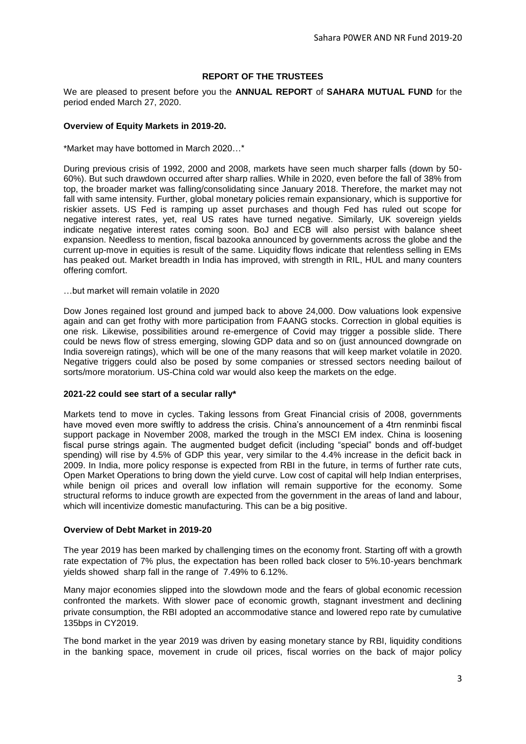### **REPORT OF THE TRUSTEES**

We are pleased to present before you the **ANNUAL REPORT** of **SAHARA MUTUAL FUND** for the period ended March 27, 2020.

#### **Overview of Equity Markets in 2019-20.**

\*Market may have bottomed in March 2020…\*

During previous crisis of 1992, 2000 and 2008, markets have seen much sharper falls (down by 50- 60%). But such drawdown occurred after sharp rallies. While in 2020, even before the fall of 38% from top, the broader market was falling/consolidating since January 2018. Therefore, the market may not fall with same intensity. Further, global monetary policies remain expansionary, which is supportive for riskier assets. US Fed is ramping up asset purchases and though Fed has ruled out scope for negative interest rates, yet, real US rates have turned negative. Similarly, UK sovereign yields indicate negative interest rates coming soon. BoJ and ECB will also persist with balance sheet expansion. Needless to mention, fiscal bazooka announced by governments across the globe and the current up-move in equities is result of the same. Liquidity flows indicate that relentless selling in EMs has peaked out. Market breadth in India has improved, with strength in RIL, HUL and many counters offering comfort.

…but market will remain volatile in 2020

Dow Jones regained lost ground and jumped back to above 24,000. Dow valuations look expensive again and can get frothy with more participation from FAANG stocks. Correction in global equities is one risk. Likewise, possibilities around re-emergence of Covid may trigger a possible slide. There could be news flow of stress emerging, slowing GDP data and so on (just announced downgrade on India sovereign ratings), which will be one of the many reasons that will keep market volatile in 2020. Negative triggers could also be posed by some companies or stressed sectors needing bailout of sorts/more moratorium. US-China cold war would also keep the markets on the edge.

#### **2021-22 could see start of a secular rally\***

Markets tend to move in cycles. Taking lessons from Great Financial crisis of 2008, governments have moved even more swiftly to address the crisis. China's announcement of a 4trn renminbi fiscal support package in November 2008, marked the trough in the MSCI EM index. China is loosening fiscal purse strings again. The augmented budget deficit (including "special" bonds and off-budget spending) will rise by 4.5% of GDP this year, very similar to the 4.4% increase in the deficit back in 2009. In India, more policy response is expected from RBI in the future, in terms of further rate cuts, Open Market Operations to bring down the yield curve. Low cost of capital will help Indian enterprises, while benign oil prices and overall low inflation will remain supportive for the economy. Some structural reforms to induce growth are expected from the government in the areas of land and labour, which will incentivize domestic manufacturing. This can be a big positive.

### **Overview of Debt Market in 2019-20**

The year 2019 has been marked by challenging times on the economy front. Starting off with a growth rate expectation of 7% plus, the expectation has been rolled back closer to 5%.10-years benchmark yields showed sharp fall in the range of 7.49% to 6.12%.

Many major economies slipped into the slowdown mode and the fears of global economic recession confronted the markets. With slower pace of economic growth, stagnant investment and declining private consumption, the RBI adopted an accommodative stance and lowered repo rate by cumulative 135bps in CY2019.

The bond market in the year 2019 was driven by easing monetary stance by RBI, liquidity conditions in the banking space, movement in crude oil prices, fiscal worries on the back of major policy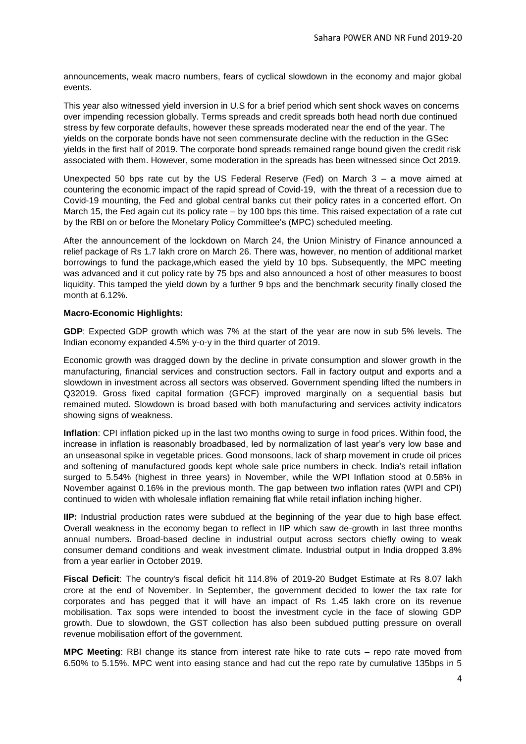announcements, weak macro numbers, fears of cyclical slowdown in the economy and major global events.

This year also witnessed yield inversion in U.S for a brief period which sent shock waves on concerns over impending recession globally. Terms spreads and credit spreads both head north due continued stress by few corporate defaults, however these spreads moderated near the end of the year. The yields on the corporate bonds have not seen commensurate decline with the reduction in the GSec yields in the first half of 2019. The corporate bond spreads remained range bound given the credit risk associated with them. However, some moderation in the spreads has been witnessed since Oct 2019.

Unexpected 50 bps rate cut by the US Federal Reserve (Fed) on March  $3 - a$  move aimed at countering the economic impact of the rapid spread of Covid-19, with the threat of a recession due to Covid-19 mounting, the Fed and global central banks cut their policy rates in a concerted effort. On March 15, the Fed again cut its policy rate – by 100 bps this time. This raised expectation of a rate cut by the RBI on or before the Monetary Policy Committee's (MPC) scheduled meeting.

After the announcement of the lockdown on March 24, the Union Ministry of Finance announced a relief package of Rs 1.7 lakh crore on March 26. There was, however, no mention of additional market borrowings to fund the package,which eased the yield by 10 bps. Subsequently, the MPC meeting was advanced and it cut policy rate by 75 bps and also announced a host of other measures to boost liquidity. This tamped the yield down by a further 9 bps and the benchmark security finally closed the month at 6.12%.

### **Macro-Economic Highlights:**

**GDP**: Expected GDP growth which was 7% at the start of the year are now in sub 5% levels. The Indian economy expanded 4.5% y-o-y in the third quarter of 2019.

Economic growth was dragged down by the decline in private consumption and slower growth in the manufacturing, financial services and construction sectors. Fall in factory output and exports and a slowdown in investment across all sectors was observed. Government spending lifted the numbers in Q32019. Gross fixed capital formation (GFCF) improved marginally on a sequential basis but remained muted. Slowdown is broad based with both manufacturing and services activity indicators showing signs of weakness.

**Inflation**: CPI inflation picked up in the last two months owing to surge in food prices. Within food, the increase in inflation is reasonably broadbased, led by normalization of last year's very low base and an unseasonal spike in vegetable prices. Good monsoons, lack of sharp movement in crude oil prices and softening of manufactured goods kept whole sale price numbers in check. India's retail inflation surged to 5.54% (highest in three years) in November, while the WPI Inflation stood at 0.58% in November against 0.16% in the previous month. The gap between two inflation rates (WPI and CPI) continued to widen with wholesale inflation remaining flat while retail inflation inching higher.

**IIP:** Industrial production rates were subdued at the beginning of the year due to high base effect. Overall weakness in the economy began to reflect in IIP which saw de-growth in last three months annual numbers. Broad-based decline in industrial output across sectors chiefly owing to weak consumer demand conditions and weak investment climate. Industrial output in India dropped 3.8% from a year earlier in October 2019.

**Fiscal Deficit**: The country's fiscal deficit hit 114.8% of 2019-20 Budget Estimate at Rs 8.07 lakh crore at the end of November. In September, the government decided to lower the tax rate for corporates and has pegged that it will have an impact of Rs 1.45 lakh crore on its revenue mobilisation. Tax sops were intended to boost the investment cycle in the face of slowing GDP growth. Due to slowdown, the GST collection has also been subdued putting pressure on overall revenue mobilisation effort of the government.

**MPC Meeting**: RBI change its stance from interest rate hike to rate cuts – repo rate moved from 6.50% to 5.15%. MPC went into easing stance and had cut the repo rate by cumulative 135bps in 5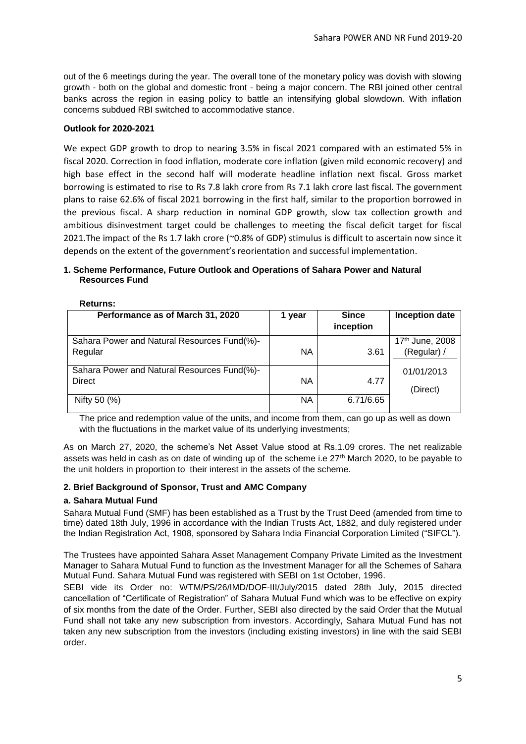out of the 6 meetings during the year. The overall tone of the monetary policy was dovish with slowing growth - both on the global and domestic front - being a major concern. The RBI joined other central banks across the region in easing policy to battle an intensifying global slowdown. With inflation concerns subdued RBI switched to accommodative stance.

#### **Outlook for 2020-2021**

We expect GDP growth to drop to nearing 3.5% in fiscal 2021 compared with an estimated 5% in fiscal 2020. Correction in food inflation, moderate core inflation (given mild economic recovery) and high base effect in the second half will moderate headline inflation next fiscal. Gross market borrowing is estimated to rise to Rs 7.8 lakh crore from Rs 7.1 lakh crore last fiscal. The government plans to raise 62.6% of fiscal 2021 borrowing in the first half, similar to the proportion borrowed in the previous fiscal. A sharp reduction in nominal GDP growth, slow tax collection growth and ambitious disinvestment target could be challenges to meeting the fiscal deficit target for fiscal 2021.The impact of the Rs 1.7 lakh crore (~0.8% of GDP) stimulus is difficult to ascertain now since it depends on the extent of the government's reorientation and successful implementation.

#### **1. Scheme Performance, Future Outlook and Operations of Sahara Power and Natural Resources Fund**

| 116141113.                                             |           |                           |                                |
|--------------------------------------------------------|-----------|---------------------------|--------------------------------|
| Performance as of March 31, 2020                       | 1 year    | <b>Since</b><br>inception | <b>Inception date</b>          |
| Sahara Power and Natural Resources Fund(%)-<br>Regular | <b>NA</b> | 3.61                      | 17th June, 2008<br>(Regular) / |
| Sahara Power and Natural Resources Fund(%)-<br>Direct  | <b>NA</b> | 4.77                      | 01/01/2013<br>(Direct)         |
| Nifty 50 (%)                                           | <b>NA</b> | 6.71/6.65                 |                                |

**Returns:**

The price and redemption value of the units, and income from them, can go up as well as down with the fluctuations in the market value of its underlying investments;

As on March 27, 2020, the scheme's Net Asset Value stood at Rs.1.09 crores. The net realizable assets was held in cash as on date of winding up of the scheme i.e  $27<sup>th</sup>$  March 2020, to be payable to the unit holders in proportion to their interest in the assets of the scheme.

### **2. Brief Background of Sponsor, Trust and AMC Company**

### **a. Sahara Mutual Fund**

Sahara Mutual Fund (SMF) has been established as a Trust by the Trust Deed (amended from time to time) dated 18th July, 1996 in accordance with the Indian Trusts Act, 1882, and duly registered under the Indian Registration Act, 1908, sponsored by Sahara India Financial Corporation Limited ("SIFCL").

The Trustees have appointed Sahara Asset Management Company Private Limited as the Investment Manager to Sahara Mutual Fund to function as the Investment Manager for all the Schemes of Sahara Mutual Fund. Sahara Mutual Fund was registered with SEBI on 1st October, 1996.

SEBI vide its Order no: WTM/PS/26/IMD/DOF-III/July/2015 dated 28th July, 2015 directed cancellation of "Certificate of Registration" of Sahara Mutual Fund which was to be effective on expiry of six months from the date of the Order. Further, SEBI also directed by the said Order that the Mutual Fund shall not take any new subscription from investors. Accordingly, Sahara Mutual Fund has not taken any new subscription from the investors (including existing investors) in line with the said SEBI order.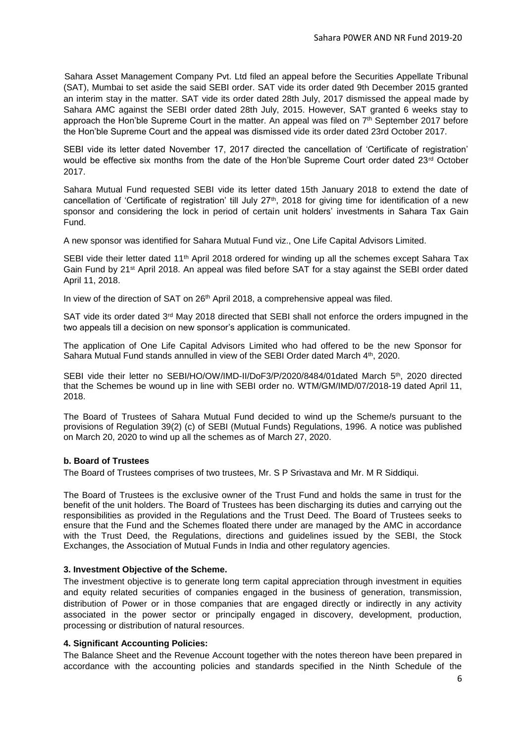Sahara Asset Management Company Pvt. Ltd filed an appeal before the Securities Appellate Tribunal (SAT), Mumbai to set aside the said SEBI order. SAT vide its order dated 9th December 2015 granted an interim stay in the matter. SAT vide its order dated 28th July, 2017 dismissed the appeal made by Sahara AMC against the SEBI order dated 28th July, 2015. However, SAT granted 6 weeks stay to approach the Hon'ble Supreme Court in the matter. An appeal was filed on  $7<sup>th</sup>$  September 2017 before the Hon'ble Supreme Court and the appeal was dismissed vide its order dated 23rd October 2017.

SEBI vide its letter dated November 17, 2017 directed the cancellation of 'Certificate of registration' would be effective six months from the date of the Hon'ble Supreme Court order dated 23<sup>rd</sup> October 2017.

Sahara Mutual Fund requested SEBI vide its letter dated 15th January 2018 to extend the date of cancellation of 'Certificate of registration' till July 27<sup>th</sup>, 2018 for giving time for identification of a new sponsor and considering the lock in period of certain unit holders' investments in Sahara Tax Gain Fund.

A new sponsor was identified for Sahara Mutual Fund viz., One Life Capital Advisors Limited.

SEBI vide their letter dated 11<sup>th</sup> April 2018 ordered for winding up all the schemes except Sahara Tax Gain Fund by 21st April 2018. An appeal was filed before SAT for a stay against the SEBI order dated April 11, 2018.

In view of the direction of SAT on 26<sup>th</sup> April 2018, a comprehensive appeal was filed.

SAT vide its order dated 3<sup>rd</sup> May 2018 directed that SEBI shall not enforce the orders impugned in the two appeals till a decision on new sponsor's application is communicated.

The application of One Life Capital Advisors Limited who had offered to be the new Sponsor for Sahara Mutual Fund stands annulled in view of the SEBI Order dated March 4th, 2020.

SEBI vide their letter no SEBI/HO/OW/IMD-II/DoF3/P/2020/8484/01dated March 5<sup>th</sup>, 2020 directed that the Schemes be wound up in line with SEBI order no. WTM/GM/IMD/07/2018-19 dated April 11, 2018.

The Board of Trustees of Sahara Mutual Fund decided to wind up the Scheme/s pursuant to the provisions of Regulation 39(2) (c) of SEBI (Mutual Funds) Regulations, 1996. A notice was published on March 20, 2020 to wind up all the schemes as of March 27, 2020.

### **b. Board of Trustees**

The Board of Trustees comprises of two trustees, Mr. S P Srivastava and Mr. M R Siddiqui.

The Board of Trustees is the exclusive owner of the Trust Fund and holds the same in trust for the benefit of the unit holders. The Board of Trustees has been discharging its duties and carrying out the responsibilities as provided in the Regulations and the Trust Deed. The Board of Trustees seeks to ensure that the Fund and the Schemes floated there under are managed by the AMC in accordance with the Trust Deed, the Regulations, directions and guidelines issued by the SEBI, the Stock Exchanges, the Association of Mutual Funds in India and other regulatory agencies.

### **3. Investment Objective of the Scheme.**

The investment objective is to generate long term capital appreciation through investment in equities and equity related securities of companies engaged in the business of generation, transmission, distribution of Power or in those companies that are engaged directly or indirectly in any activity associated in the power sector or principally engaged in discovery, development, production, processing or distribution of natural resources.

### **4. Significant Accounting Policies:**

The Balance Sheet and the Revenue Account together with the notes thereon have been prepared in accordance with the accounting policies and standards specified in the Ninth Schedule of the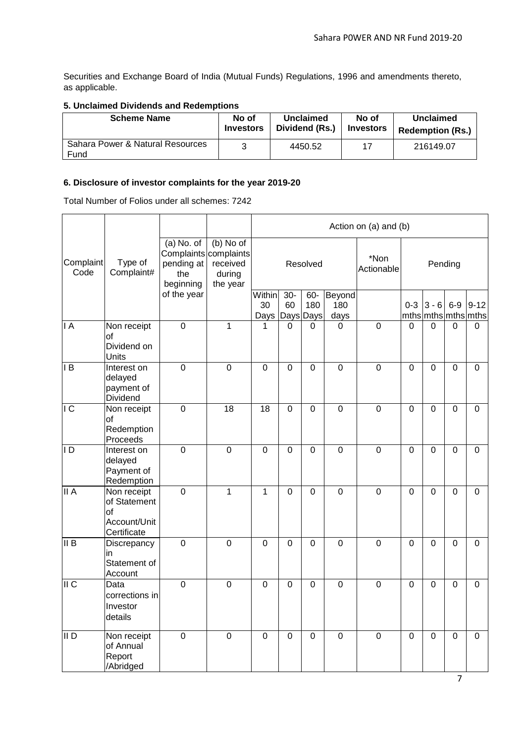Securities and Exchange Board of India (Mutual Funds) Regulations, 1996 and amendments thereto, as applicable.

# **5. Unclaimed Dividends and Redemptions**

| <b>Scheme Name</b>                       | No of            | Unclaimed      | No of            | Unclaimed               |
|------------------------------------------|------------------|----------------|------------------|-------------------------|
|                                          | <b>Investors</b> | Dividend (Rs.) | <b>Investors</b> | <b>Redemption (Rs.)</b> |
| Sahara Power & Natural Resources<br>Fund |                  | 4450.52        |                  | 216149.07               |

# **6. Disclosure of investor complaints for the year 2019-20**

Total Number of Folios under all schemes: 7242

|                   |                                                                  |                                                                         |                 | Action on (a) and (b) |                |                         |                       |                    |                |                             |                |                |
|-------------------|------------------------------------------------------------------|-------------------------------------------------------------------------|-----------------|-----------------------|----------------|-------------------------|-----------------------|--------------------|----------------|-----------------------------|----------------|----------------|
| Complaint<br>Code | Type of<br>Complaint#                                            | $(a)$ No. of<br>Complaints complaints<br>pending at<br>the<br>beginning |                 |                       | Resolved       |                         |                       | *Non<br>Actionable |                | Pending                     |                |                |
|                   |                                                                  | of the year                                                             |                 | Within<br>30<br>Days  | $30-$<br>60    | 60-<br>180<br>Days Days | Beyond<br>180<br>days |                    | $0 - 3$        | $3 - 6$<br>mthsmthsmthsmths | $6-9$          | $9 - 12$       |
| $\mathsf{I}$ A    | Non receipt<br>of<br>Dividend on<br>Units                        | $\overline{0}$                                                          | $\mathbf{1}$    | 1                     | 0              | 0                       | 0                     | $\overline{0}$     | $\mathbf 0$    | 0                           | 0              | $\mathbf 0$    |
| IB                | Interest on<br>delayed<br>payment of<br>Dividend                 | $\overline{0}$                                                          | $\Omega$        | 0                     | $\overline{0}$ | $\Omega$                | $\Omega$              | $\Omega$           | $\Omega$       | $\Omega$                    | $\Omega$       | $\Omega$       |
| $\overline{C}$    | Non receipt<br>of<br>Redemption<br>Proceeds                      | $\overline{0}$                                                          | $\overline{18}$ | 18                    | $\overline{0}$ | $\overline{0}$          | $\overline{0}$        | $\overline{0}$     | $\overline{0}$ | $\overline{0}$              | $\overline{0}$ | $\overline{0}$ |
| $\mathsf{I}$      | Interest on<br>delayed<br>Payment of<br>Redemption               | $\mathbf 0$                                                             | $\mathbf 0$     | $\mathbf 0$           | $\mathbf 0$    | $\mathbf 0$             | $\boldsymbol{0}$      | $\mathbf 0$        | $\mathbf 0$    | $\mathbf 0$                 | $\mathbf 0$    | $\mathbf 0$    |
| II A              | Non receipt<br>of Statement<br>of<br>Account/Unit<br>Certificate | $\mathbf 0$                                                             | $\mathbf{1}$    | $\mathbf{1}$          | $\overline{0}$ | $\mathbf 0$             | $\mathbf 0$           | $\mathbf 0$        | $\overline{0}$ | $\overline{0}$              | $\overline{0}$ | $\mathbf 0$    |
| $\overline{II}$   | Discrepancy<br>in<br>Statement of<br>Account                     | $\overline{0}$                                                          | $\mathbf 0$     | $\overline{0}$        | $\mathbf 0$    | $\mathbf 0$             | $\mathbf 0$           | $\mathbf 0$        | $\mathbf 0$    | $\overline{0}$              | $\overline{0}$ | $\mathbf 0$    |
| II <sub>C</sub>   | Data<br>corrections in<br>Investor<br>details                    | $\mathbf 0$                                                             | $\mathbf 0$     | 0                     | $\Omega$       | $\mathbf 0$             | $\mathbf 0$           | $\mathbf 0$        | $\Omega$       | $\Omega$                    | $\Omega$       | $\Omega$       |
| $\overline{II}$   | Non receipt<br>of Annual<br>Report<br>/Abridged                  | $\overline{0}$                                                          | $\overline{0}$  | 0                     | $\Omega$       | $\Omega$                | $\Omega$              | $\Omega$           | $\Omega$       | $\Omega$                    | $\Omega$       | $\Omega$       |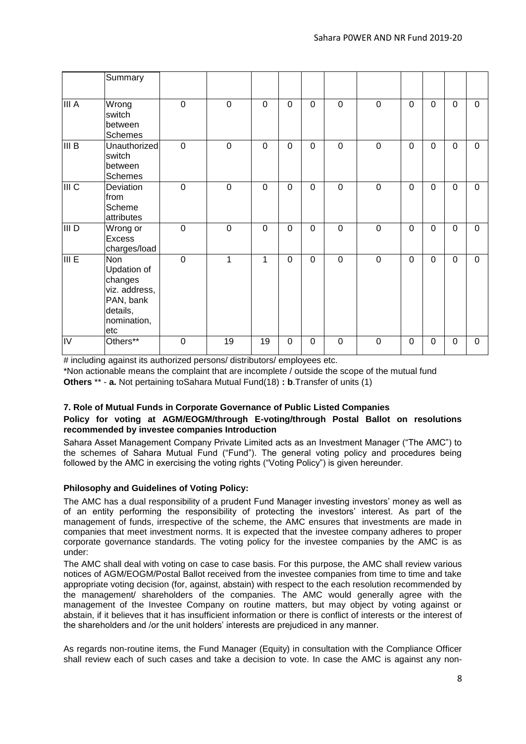|                    | Summary                                                                                              |                |                |             |                |             |                |             |             |                |             |                |
|--------------------|------------------------------------------------------------------------------------------------------|----------------|----------------|-------------|----------------|-------------|----------------|-------------|-------------|----------------|-------------|----------------|
| III A              | Wrong<br>switch<br>between<br>Schemes                                                                | $\overline{0}$ | $\overline{0}$ | $\mathbf 0$ | $\mathbf 0$    | $\mathbf 0$ | $\mathbf 0$    | $\mathbf 0$ | $\Omega$    | $\Omega$       | $\Omega$    | $\mathbf 0$    |
| III B              | Unauthorized<br>switch<br>between<br><b>Schemes</b>                                                  | $\overline{0}$ | $\mathbf 0$    | $\mathbf 0$ | $\mathbf 0$    | $\mathbf 0$ | $\mathbf 0$    | $\mathbf 0$ | $\Omega$    | $\overline{0}$ | $\mathbf 0$ | $\mathbf 0$    |
| III C              | Deviation<br>from<br>Scheme<br>attributes                                                            | $\overline{0}$ | $\mathbf 0$    | $\mathbf 0$ | $\mathbf{0}$   | $\mathbf 0$ | $\overline{0}$ | $\mathbf 0$ | $\Omega$    | $\Omega$       | $\Omega$    | $\mathbf 0$    |
| III D              | Wrong or<br><b>Excess</b><br>charges/load                                                            | $\overline{0}$ | $\overline{0}$ | $\mathbf 0$ | $\overline{0}$ | $\mathbf 0$ | $\overline{0}$ | $\mathbf 0$ | $\mathbf 0$ | $\overline{0}$ | $\mathbf 0$ | $\mathbf{0}$   |
| $\overline{III}$ E | <b>Non</b><br>Updation of<br>changes<br>viz. address,<br>PAN, bank<br>details,<br>nomination,<br>etc | $\overline{0}$ | 1              | 1           | $\mathbf 0$    | $\mathbf 0$ | $\overline{0}$ | $\mathbf 0$ | $\mathbf 0$ | $\overline{0}$ | $\mathbf 0$ | $\mathbf 0$    |
| IV                 | Others**                                                                                             | $\overline{0}$ | 19             | 19          | $\mathbf 0$    | $\mathbf 0$ | $\overline{0}$ | $\mathbf 0$ | $\mathbf 0$ | $\overline{0}$ | $\mathbf 0$ | $\overline{0}$ |

# including against its authorized persons/ distributors/ employees etc.

\*Non actionable means the complaint that are incomplete / outside the scope of the mutual fund **Others** \*\* - **a.** Not pertaining toSahara Mutual Fund(18) **: b**.Transfer of units (1)

# **7. Role of Mutual Funds in Corporate Governance of Public Listed Companies**

#### **Policy for voting at AGM/EOGM/through E-voting/through Postal Ballot on resolutions recommended by investee companies Introduction**

Sahara Asset Management Company Private Limited acts as an Investment Manager ("The AMC") to the schemes of Sahara Mutual Fund ("Fund"). The general voting policy and procedures being followed by the AMC in exercising the voting rights ("Voting Policy") is given hereunder.

### **Philosophy and Guidelines of Voting Policy:**

The AMC has a dual responsibility of a prudent Fund Manager investing investors' money as well as of an entity performing the responsibility of protecting the investors' interest. As part of the management of funds, irrespective of the scheme, the AMC ensures that investments are made in companies that meet investment norms. It is expected that the investee company adheres to proper corporate governance standards. The voting policy for the investee companies by the AMC is as under:

The AMC shall deal with voting on case to case basis. For this purpose, the AMC shall review various notices of AGM/EOGM/Postal Ballot received from the investee companies from time to time and take appropriate voting decision (for, against, abstain) with respect to the each resolution recommended by the management/ shareholders of the companies. The AMC would generally agree with the management of the Investee Company on routine matters, but may object by voting against or abstain, if it believes that it has insufficient information or there is conflict of interests or the interest of the shareholders and /or the unit holders' interests are prejudiced in any manner.

As regards non-routine items, the Fund Manager (Equity) in consultation with the Compliance Officer shall review each of such cases and take a decision to vote. In case the AMC is against any non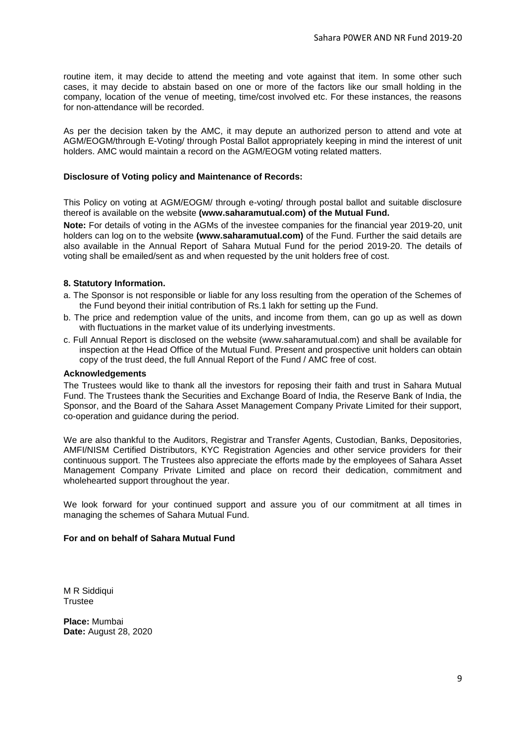routine item, it may decide to attend the meeting and vote against that item. In some other such cases, it may decide to abstain based on one or more of the factors like our small holding in the company, location of the venue of meeting, time/cost involved etc. For these instances, the reasons for non-attendance will be recorded.

As per the decision taken by the AMC, it may depute an authorized person to attend and vote at AGM/EOGM/through E-Voting/ through Postal Ballot appropriately keeping in mind the interest of unit holders. AMC would maintain a record on the AGM/EOGM voting related matters.

#### **Disclosure of Voting policy and Maintenance of Records:**

This Policy on voting at AGM/EOGM/ through e-voting/ through postal ballot and suitable disclosure thereof is available on the website **(www.saharamutual.com) of the Mutual Fund.**

**Note:** For details of voting in the AGMs of the investee companies for the financial year 2019-20, unit holders can log on to the website **(www.saharamutual.com)** of the Fund. Further the said details are also available in the Annual Report of Sahara Mutual Fund for the period 2019-20. The details of voting shall be emailed/sent as and when requested by the unit holders free of cost.

#### **8. Statutory Information.**

- a. The Sponsor is not responsible or liable for any loss resulting from the operation of the Schemes of the Fund beyond their initial contribution of Rs.1 lakh for setting up the Fund.
- b. The price and redemption value of the units, and income from them, can go up as well as down with fluctuations in the market value of its underlying investments.
- c. Full Annual Report is disclosed on the website (www.saharamutual.com) and shall be available for inspection at the Head Office of the Mutual Fund. Present and prospective unit holders can obtain copy of the trust deed, the full Annual Report of the Fund / AMC free of cost.

#### **Acknowledgements**

The Trustees would like to thank all the investors for reposing their faith and trust in Sahara Mutual Fund. The Trustees thank the Securities and Exchange Board of India, the Reserve Bank of India, the Sponsor, and the Board of the Sahara Asset Management Company Private Limited for their support, co-operation and guidance during the period.

We are also thankful to the Auditors, Registrar and Transfer Agents, Custodian, Banks, Depositories, AMFI/NISM Certified Distributors, KYC Registration Agencies and other service providers for their continuous support. The Trustees also appreciate the efforts made by the employees of Sahara Asset Management Company Private Limited and place on record their dedication, commitment and wholehearted support throughout the year.

We look forward for your continued support and assure you of our commitment at all times in managing the schemes of Sahara Mutual Fund.

#### **For and on behalf of Sahara Mutual Fund**

M R Siddiqui **Trustee** 

**Place:** Mumbai **Date:** August 28, 2020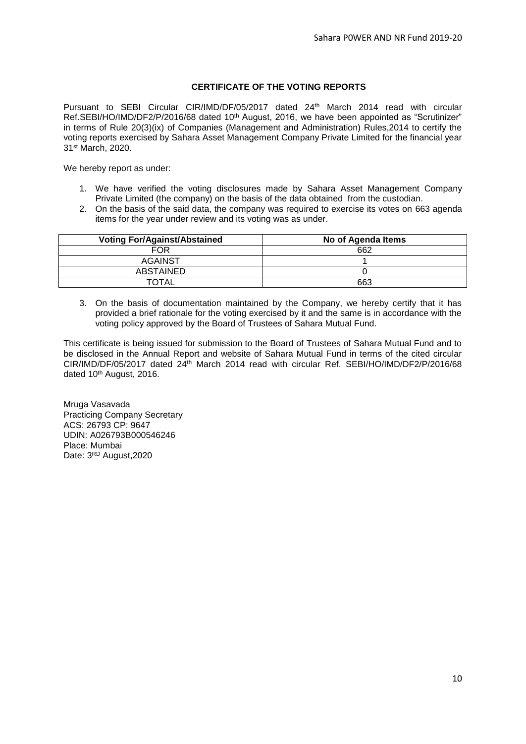### **CERTIFICATE OF THE VOTING REPORTS**

Pursuant to SEBI Circular CIR/IMD/DF/05/2017 dated 24th March 2014 read with circular Ref.SEBI/HO/IMD/DF2/P/2016/68 dated 10<sup>th</sup> August, 2016, we have been appointed as "Scrutinizer" in terms of Rule 20(3)(ix) of Companies (Management and Administration) Rules,2014 to certify the voting reports exercised by Sahara Asset Management Company Private Limited for the financial year 31st March, 2020.

We hereby report as under:

- 1. We have verified the voting disclosures made by Sahara Asset Management Company Private Limited (the company) on the basis of the data obtained from the custodian.
- 2. On the basis of the said data, the company was required to exercise its votes on 663 agenda items for the year under review and its voting was as under.

| <b>Voting For/Against/Abstained</b> | No of Agenda Items |
|-------------------------------------|--------------------|
| FOR                                 | 662                |
| <b>AGAINST</b>                      |                    |
| ABSTAINED                           |                    |
| TOTAL                               | 663                |

3. On the basis of documentation maintained by the Company, we hereby certify that it has provided a brief rationale for the voting exercised by it and the same is in accordance with the voting policy approved by the Board of Trustees of Sahara Mutual Fund.

This certificate is being issued for submission to the Board of Trustees of Sahara Mutual Fund and to be disclosed in the Annual Report and website of Sahara Mutual Fund in terms of the cited circular CIR/IMD/DF/05/2017 dated 24th March 2014 read with circular Ref. SEBI/HO/IMD/DF2/P/2016/68 dated 10<sup>th</sup> August, 2016.

Mruga Vasavada Practicing Company Secretary ACS: 26793 CP: 9647 UDIN: A026793B000546246 Place: Mumbai Date: 3RD August, 2020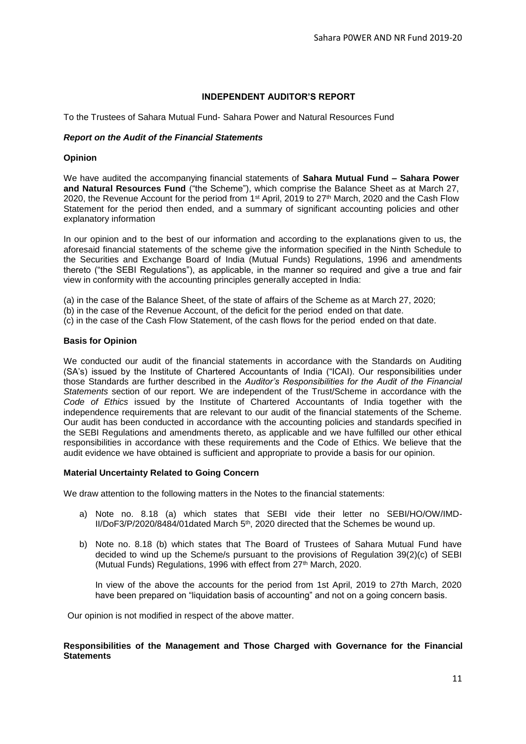#### **INDEPENDENT AUDITOR'S REPORT**

To the Trustees of Sahara Mutual Fund- Sahara Power and Natural Resources Fund

#### *Report on the Audit of the Financial Statements*

#### **Opinion**

We have audited the accompanying financial statements of **Sahara Mutual Fund – Sahara Power and Natural Resources Fund** ("the Scheme"), which comprise the Balance Sheet as at March 27, 2020, the Revenue Account for the period from 1st April, 2019 to 27th March, 2020 and the Cash Flow Statement for the period then ended, and a summary of significant accounting policies and other explanatory information

In our opinion and to the best of our information and according to the explanations given to us, the aforesaid financial statements of the scheme give the information specified in the Ninth Schedule to the Securities and Exchange Board of India (Mutual Funds) Regulations, 1996 and amendments thereto ("the SEBI Regulations"), as applicable, in the manner so required and give a true and fair view in conformity with the accounting principles generally accepted in India:

- (a) in the case of the Balance Sheet, of the state of affairs of the Scheme as at March 27, 2020;
- (b) in the case of the Revenue Account, of the deficit for the period ended on that date.
- (c) in the case of the Cash Flow Statement, of the cash flows for the period ended on that date.

#### **Basis for Opinion**

We conducted our audit of the financial statements in accordance with the Standards on Auditing (SA's) issued by the Institute of Chartered Accountants of India ("ICAI). Our responsibilities under those Standards are further described in the *Auditor's Responsibilities for the Audit of the Financial Statements* section of our report. We are independent of the Trust/Scheme in accordance with the *Code of Ethics* issued by the Institute of Chartered Accountants of India together with the independence requirements that are relevant to our audit of the financial statements of the Scheme. Our audit has been conducted in accordance with the accounting policies and standards specified in the SEBI Regulations and amendments thereto, as applicable and we have fulfilled our other ethical responsibilities in accordance with these requirements and the Code of Ethics. We believe that the audit evidence we have obtained is sufficient and appropriate to provide a basis for our opinion.

#### **Material Uncertainty Related to Going Concern**

We draw attention to the following matters in the Notes to the financial statements:

- a) Note no. 8.18 (a) which states that SEBI vide their letter no SEBI/HO/OW/IMD-II/DoF3/P/2020/8484/01dated March 5th, 2020 directed that the Schemes be wound up.
- b) Note no. 8.18 (b) which states that The Board of Trustees of Sahara Mutual Fund have decided to wind up the Scheme/s pursuant to the provisions of Regulation 39(2)(c) of SEBI (Mutual Funds) Regulations, 1996 with effect from 27<sup>th</sup> March, 2020.

In view of the above the accounts for the period from 1st April, 2019 to 27th March, 2020 have been prepared on "liquidation basis of accounting" and not on a going concern basis.

Our opinion is not modified in respect of the above matter.

#### **Responsibilities of the Management and Those Charged with Governance for the Financial Statements**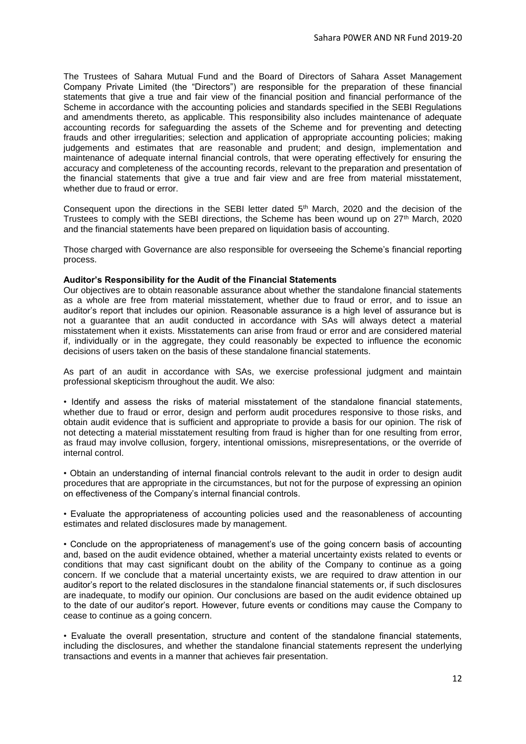The Trustees of Sahara Mutual Fund and the Board of Directors of Sahara Asset Management Company Private Limited (the "Directors") are responsible for the preparation of these financial statements that give a true and fair view of the financial position and financial performance of the Scheme in accordance with the accounting policies and standards specified in the SEBI Regulations and amendments thereto, as applicable. This responsibility also includes maintenance of adequate accounting records for safeguarding the assets of the Scheme and for preventing and detecting frauds and other irregularities; selection and application of appropriate accounting policies; making judgements and estimates that are reasonable and prudent; and design, implementation and maintenance of adequate internal financial controls, that were operating effectively for ensuring the accuracy and completeness of the accounting records, relevant to the preparation and presentation of the financial statements that give a true and fair view and are free from material misstatement, whether due to fraud or error.

Consequent upon the directions in the SEBI letter dated  $5<sup>th</sup>$  March, 2020 and the decision of the Trustees to comply with the SEBI directions, the Scheme has been wound up on  $27<sup>th</sup>$  March, 2020 and the financial statements have been prepared on liquidation basis of accounting.

Those charged with Governance are also responsible for overseeing the Scheme's financial reporting process.

#### **Auditor's Responsibility for the Audit of the Financial Statements**

Our objectives are to obtain reasonable assurance about whether the standalone financial statements as a whole are free from material misstatement, whether due to fraud or error, and to issue an auditor's report that includes our opinion. Reasonable assurance is a high level of assurance but is not a guarantee that an audit conducted in accordance with SAs will always detect a material misstatement when it exists. Misstatements can arise from fraud or error and are considered material if, individually or in the aggregate, they could reasonably be expected to influence the economic decisions of users taken on the basis of these standalone financial statements.

As part of an audit in accordance with SAs, we exercise professional judgment and maintain professional skepticism throughout the audit. We also:

• Identify and assess the risks of material misstatement of the standalone financial statements, whether due to fraud or error, design and perform audit procedures responsive to those risks, and obtain audit evidence that is sufficient and appropriate to provide a basis for our opinion. The risk of not detecting a material misstatement resulting from fraud is higher than for one resulting from error, as fraud may involve collusion, forgery, intentional omissions, misrepresentations, or the override of internal control.

• Obtain an understanding of internal financial controls relevant to the audit in order to design audit procedures that are appropriate in the circumstances, but not for the purpose of expressing an opinion on effectiveness of the Company's internal financial controls.

• Evaluate the appropriateness of accounting policies used and the reasonableness of accounting estimates and related disclosures made by management.

• Conclude on the appropriateness of management's use of the going concern basis of accounting and, based on the audit evidence obtained, whether a material uncertainty exists related to events or conditions that may cast significant doubt on the ability of the Company to continue as a going concern. If we conclude that a material uncertainty exists, we are required to draw attention in our auditor's report to the related disclosures in the standalone financial statements or, if such disclosures are inadequate, to modify our opinion. Our conclusions are based on the audit evidence obtained up to the date of our auditor's report. However, future events or conditions may cause the Company to cease to continue as a going concern.

• Evaluate the overall presentation, structure and content of the standalone financial statements, including the disclosures, and whether the standalone financial statements represent the underlying transactions and events in a manner that achieves fair presentation.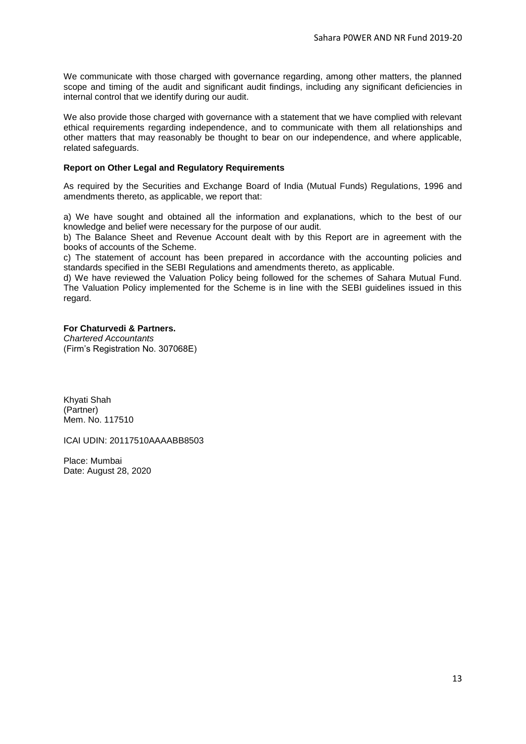We communicate with those charged with governance regarding, among other matters, the planned scope and timing of the audit and significant audit findings, including any significant deficiencies in internal control that we identify during our audit.

We also provide those charged with governance with a statement that we have complied with relevant ethical requirements regarding independence, and to communicate with them all relationships and other matters that may reasonably be thought to bear on our independence, and where applicable, related safeguards.

#### **Report on Other Legal and Regulatory Requirements**

As required by the Securities and Exchange Board of India (Mutual Funds) Regulations, 1996 and amendments thereto, as applicable, we report that:

a) We have sought and obtained all the information and explanations, which to the best of our knowledge and belief were necessary for the purpose of our audit.

b) The Balance Sheet and Revenue Account dealt with by this Report are in agreement with the books of accounts of the Scheme.

c) The statement of account has been prepared in accordance with the accounting policies and standards specified in the SEBI Regulations and amendments thereto, as applicable.

d) We have reviewed the Valuation Policy being followed for the schemes of Sahara Mutual Fund. The Valuation Policy implemented for the Scheme is in line with the SEBI guidelines issued in this regard.

#### **For Chaturvedi & Partners.**

*Chartered Accountants* (Firm's Registration No. 307068E)

Khyati Shah (Partner) Mem. No. 117510

ICAI UDIN: 20117510AAAABB8503

Place: Mumbai Date: August 28, 2020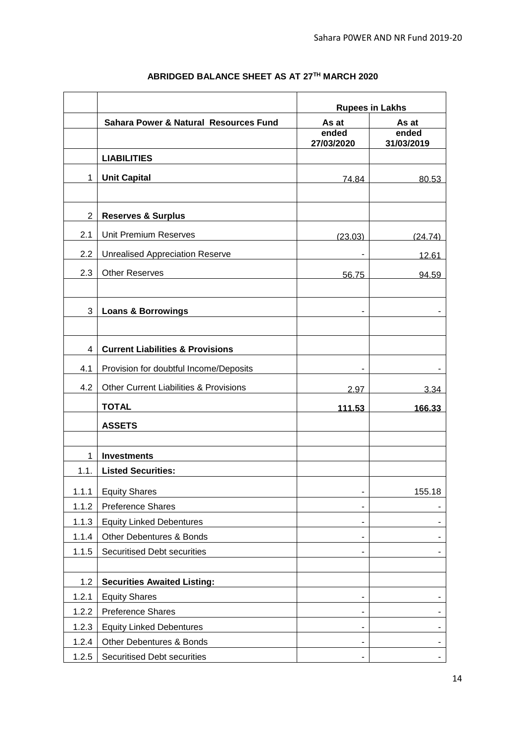|                |                                                   | <b>Rupees in Lakhs</b>       |                     |  |
|----------------|---------------------------------------------------|------------------------------|---------------------|--|
|                | Sahara Power & Natural Resources Fund             | As at                        | As at               |  |
|                |                                                   | ended                        | ended<br>31/03/2019 |  |
|                | <b>LIABILITIES</b>                                | 27/03/2020                   |                     |  |
|                |                                                   |                              |                     |  |
| 1              | <b>Unit Capital</b>                               | 74.84                        | 80.53               |  |
|                |                                                   |                              |                     |  |
| $\overline{2}$ | <b>Reserves &amp; Surplus</b>                     |                              |                     |  |
| 2.1            | <b>Unit Premium Reserves</b>                      | (23.03)                      | (24.74)             |  |
| 2.2            | <b>Unrealised Appreciation Reserve</b>            |                              | <u>12.61</u>        |  |
| 2.3            | <b>Other Reserves</b>                             | 56.75                        | 94.59               |  |
|                |                                                   |                              |                     |  |
|                |                                                   |                              |                     |  |
| 3              | <b>Loans &amp; Borrowings</b>                     |                              |                     |  |
|                |                                                   |                              |                     |  |
| 4              | <b>Current Liabilities &amp; Provisions</b>       |                              |                     |  |
| 4.1            | Provision for doubtful Income/Deposits            |                              |                     |  |
| 4.2            | <b>Other Current Liabilities &amp; Provisions</b> | 2.97                         | 3.34                |  |
|                | <b>TOTAL</b>                                      | 111.53                       | 166.33              |  |
|                | <b>ASSETS</b>                                     |                              |                     |  |
|                |                                                   |                              |                     |  |
| 1              | <b>Investments</b>                                |                              |                     |  |
| 1.1.           | <b>Listed Securities:</b>                         |                              |                     |  |
| 1.1.1          | <b>Equity Shares</b>                              | $\qquad \qquad \blacksquare$ | 155.18              |  |
| 1.1.2          | Preference Shares                                 | $\blacksquare$               |                     |  |
| 1.1.3          | <b>Equity Linked Debentures</b>                   | ٠                            | ۰                   |  |
| 1.1.4          | Other Debentures & Bonds                          | $\overline{\phantom{a}}$     |                     |  |
| 1.1.5          | <b>Securitised Debt securities</b>                | $\blacksquare$               |                     |  |
|                |                                                   |                              |                     |  |
| 1.2            | <b>Securities Awaited Listing:</b>                |                              |                     |  |
| 1.2.1          | <b>Equity Shares</b>                              |                              |                     |  |
| 1.2.2          | Preference Shares                                 | ٠                            | ۰                   |  |
| 1.2.3          | <b>Equity Linked Debentures</b>                   | $\overline{\phantom{a}}$     |                     |  |
| 1.2.4          | Other Debentures & Bonds                          | $\overline{\phantom{a}}$     | ۰.                  |  |
| 1.2.5          | <b>Securitised Debt securities</b>                |                              |                     |  |

# **ABRIDGED BALANCE SHEET AS AT 27TH MARCH 2020**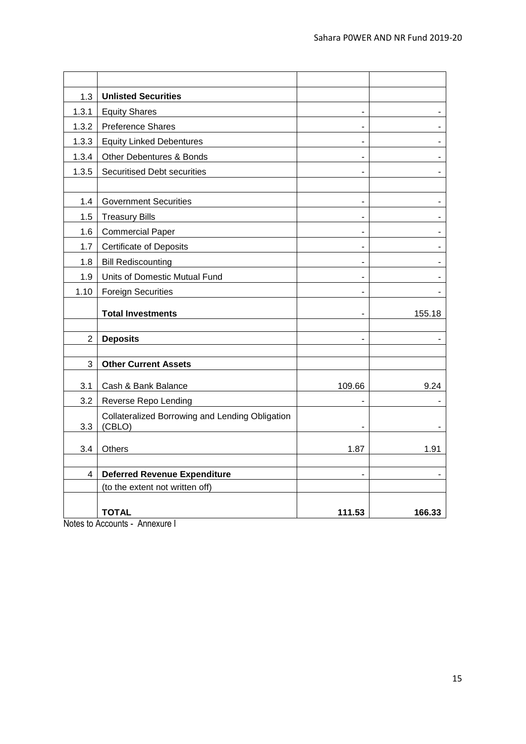| 1.3            | <b>Unlisted Securities</b>                                             |                          |                |
|----------------|------------------------------------------------------------------------|--------------------------|----------------|
| 1.3.1          | <b>Equity Shares</b>                                                   | $\blacksquare$           |                |
| 1.3.2          | <b>Preference Shares</b>                                               | $\overline{a}$           |                |
| 1.3.3          | <b>Equity Linked Debentures</b>                                        | $\blacksquare$           |                |
| 1.3.4          | <b>Other Debentures &amp; Bonds</b>                                    | $\blacksquare$           | $\blacksquare$ |
| 1.3.5          | <b>Securitised Debt securities</b>                                     | $\blacksquare$           |                |
|                |                                                                        |                          |                |
| 1.4            | <b>Government Securities</b>                                           | $\blacksquare$           |                |
| 1.5            | <b>Treasury Bills</b>                                                  | $\overline{\phantom{a}}$ |                |
| 1.6            | <b>Commercial Paper</b>                                                | $\blacksquare$           |                |
| 1.7            | <b>Certificate of Deposits</b>                                         | $\blacksquare$           |                |
| 1.8            | <b>Bill Rediscounting</b>                                              | ٠                        |                |
| 1.9            | Units of Domestic Mutual Fund                                          | $\overline{a}$           |                |
| 1.10           | <b>Foreign Securities</b>                                              | $\blacksquare$           |                |
|                | <b>Total Investments</b>                                               | -                        | 155.18         |
|                |                                                                        |                          |                |
| $\overline{2}$ | <b>Deposits</b>                                                        | L,                       |                |
| 3              |                                                                        |                          |                |
|                | <b>Other Current Assets</b>                                            |                          |                |
| 3.1            | Cash & Bank Balance                                                    | 109.66                   | 9.24           |
| 3.2            | Reverse Repo Lending                                                   |                          |                |
| 3.3            | Collateralized Borrowing and Lending Obligation<br>(CBLO)              |                          |                |
| 3.4            | Others                                                                 | 1.87                     | 1.91           |
|                |                                                                        |                          |                |
| 4              | <b>Deferred Revenue Expenditure</b><br>(to the extent not written off) |                          |                |
|                |                                                                        |                          |                |
|                | <b>TOTAL</b>                                                           | 111.53                   | 166.33         |

Notes to Accounts - Annexure I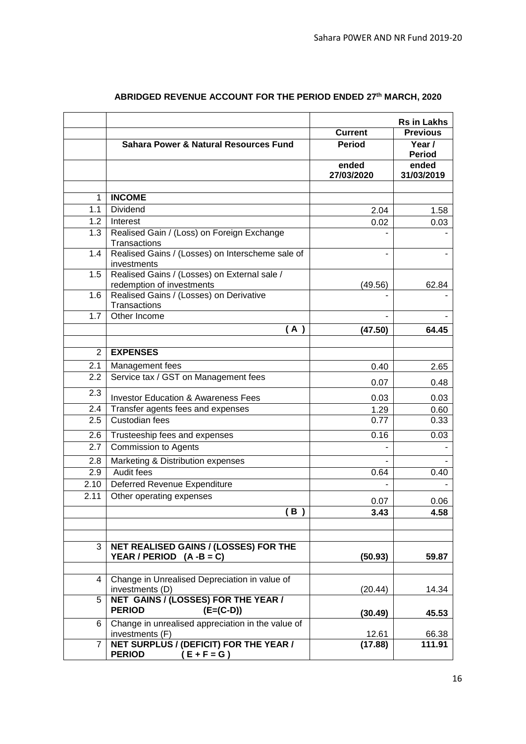|                |                                                                           |                     | <b>Rs in Lakhs</b>      |
|----------------|---------------------------------------------------------------------------|---------------------|-------------------------|
|                |                                                                           | <b>Current</b>      | <b>Previous</b>         |
|                | <b>Sahara Power &amp; Natural Resources Fund</b>                          | <b>Period</b>       | Year /<br><b>Period</b> |
|                |                                                                           | ended<br>27/03/2020 | ended<br>31/03/2019     |
|                |                                                                           |                     |                         |
| 1              | <b>INCOME</b>                                                             |                     |                         |
| 1.1            | Dividend                                                                  | 2.04                | 1.58                    |
| 1.2            | Interest                                                                  | 0.02                | 0.03                    |
| 1.3            | Realised Gain / (Loss) on Foreign Exchange<br>Transactions                |                     |                         |
| 1.4            | Realised Gains / (Losses) on Interscheme sale of<br>investments           |                     |                         |
| 1.5            | Realised Gains / (Losses) on External sale /<br>redemption of investments | (49.56)             | 62.84                   |
| 1.6            | Realised Gains / (Losses) on Derivative                                   |                     |                         |
|                | Transactions                                                              |                     |                         |
| 1.7            | Other Income                                                              |                     |                         |
|                | (A )                                                                      | (47.50)             | 64.45                   |
|                |                                                                           |                     |                         |
| $\overline{2}$ | <b>EXPENSES</b>                                                           |                     |                         |
| 2.1            | Management fees                                                           | 0.40                | 2.65                    |
| 2.2            | Service tax / GST on Management fees                                      | 0.07                | 0.48                    |
| 2.3            | <b>Investor Education &amp; Awareness Fees</b>                            | 0.03                | 0.03                    |
| 2.4            | Transfer agents fees and expenses                                         | 1.29                | 0.60                    |
| 2.5            | Custodian fees                                                            | 0.77                | 0.33                    |
| 2.6            | Trusteeship fees and expenses                                             | 0.16                | 0.03                    |
| 2.7            | <b>Commission to Agents</b>                                               |                     |                         |
| 2.8            | Marketing & Distribution expenses                                         |                     |                         |
| 2.9            | Audit fees                                                                | 0.64                | 0.40                    |
| 2.10           | Deferred Revenue Expenditure                                              |                     |                         |
| 2.11           | Other operating expenses                                                  | 0.07                | 0.06                    |
|                | (B)                                                                       | 3.43                | 4.58                    |
|                |                                                                           |                     |                         |
| 3              | NET REALISED GAINS / (LOSSES) FOR THE                                     |                     |                         |
|                | YEAR / PERIOD $(A - B = C)$                                               | (50.93)             | 59.87                   |
|                |                                                                           |                     |                         |
| 4              | Change in Unrealised Depreciation in value of<br>investments (D)          | (20.44)             | 14.34                   |
| 5              | NET GAINS / (LOSSES) FOR THE YEAR /<br><b>PERIOD</b><br>$(E=(C-D))$       | (30.49)             | 45.53                   |
| 6              | Change in unrealised appreciation in the value of                         |                     |                         |
|                | investments (F)                                                           | 12.61               | 66.38                   |
| $\overline{7}$ | NET SURPLUS / (DEFICIT) FOR THE YEAR /<br><b>PERIOD</b><br>$(E + F = G)$  | (17.88)             | 111.91                  |

# **ABRIDGED REVENUE ACCOUNT FOR THE PERIOD ENDED 27th MARCH, 2020**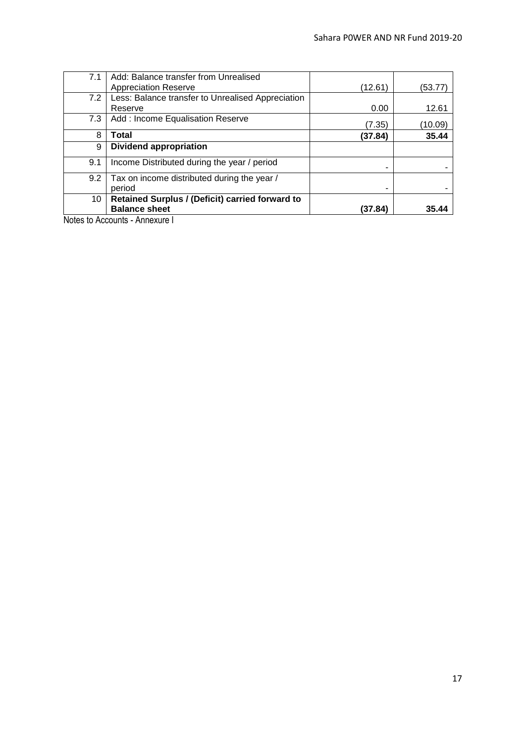| 7.1 | Add: Balance transfer from Unrealised             |         |         |
|-----|---------------------------------------------------|---------|---------|
|     | <b>Appreciation Reserve</b>                       | (12.61) | (53.77  |
| 7.2 | Less: Balance transfer to Unrealised Appreciation |         |         |
|     | Reserve                                           | 0.00    | 12.61   |
| 7.3 | Add: Income Equalisation Reserve                  | (7.35)  | (10.09) |
| 8   | Total                                             | (37.84) | 35.44   |
| 9   | <b>Dividend appropriation</b>                     |         |         |
| 9.1 | Income Distributed during the year / period       |         |         |
| 9.2 | Tax on income distributed during the year /       |         |         |
|     | period                                            |         |         |
| 10  | Retained Surplus / (Deficit) carried forward to   |         |         |
|     | <b>Balance sheet</b>                              | (37.84) | 35.44   |

Notes to Accounts - Annexure I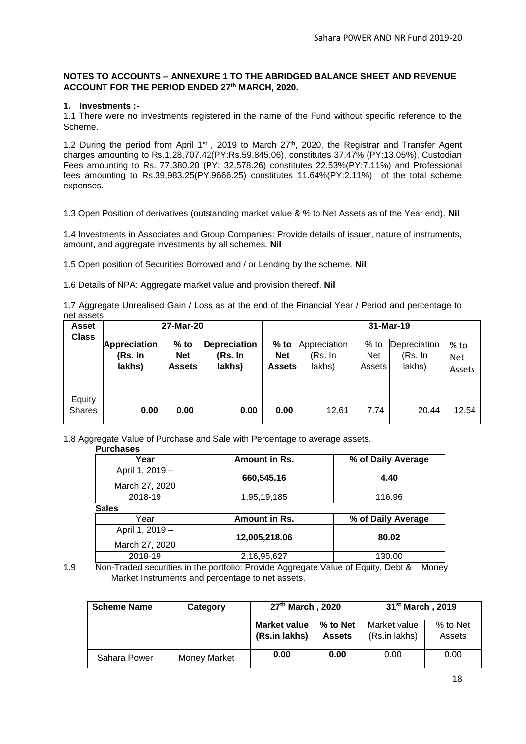## **NOTES TO ACCOUNTS – ANNEXURE 1 TO THE ABRIDGED BALANCE SHEET AND REVENUE ACCOUNT FOR THE PERIOD ENDED 27th MARCH, 2020.**

#### **1. Investments :-**

1.1 There were no investments registered in the name of the Fund without specific reference to the Scheme.

1.2 During the period from April 1<sup>st</sup>, 2019 to March 27<sup>th</sup>, 2020, the Registrar and Transfer Agent charges amounting to Rs.1,28,707.42(PY:Rs.59,845.06), constitutes 37.47% (PY:13.05%), Custodian Fees amounting to Rs. 77,380.20 (PY: 32,578.26) constitutes 22.53%(PY:7.11%) and Professional fees amounting to Rs.39,983.25(PY:9666.25) constitutes 11.64%(PY:2.11%) of the total scheme expenses**.**

1.3 Open Position of derivatives (outstanding market value & % to Net Assets as of the Year end). **Nil**

1.4 Investments in Associates and Group Companies: Provide details of issuer, nature of instruments, amount, and aggregate investments by all schemes. **Nil**

1.5 Open position of Securities Borrowed and / or Lending by the scheme. **Nil**

1.6 Details of NPA: Aggregate market value and provision thereof. **Nil**

1.7 Aggregate Unrealised Gain / Loss as at the end of the Financial Year / Period and percentage to net assets.

| Asset<br><b>Class</b>   | 27-Mar-20                         |                                       |                                          |                                       | 31-Mar-19                         |                                |                                   |                              |  |
|-------------------------|-----------------------------------|---------------------------------------|------------------------------------------|---------------------------------------|-----------------------------------|--------------------------------|-----------------------------------|------------------------------|--|
|                         | Appreciation<br>(Rs. In<br>lakhs) | $%$ to<br><b>Net</b><br><b>Assets</b> | <b>Depreciation</b><br>(Rs. In<br>lakhs) | $%$ to<br><b>Net</b><br><b>Assets</b> | Appreciation<br>(Rs. In<br>lakhs) | $%$ to<br><b>Net</b><br>Assets | Depreciation<br>(Rs. In<br>lakhs) | % to<br><b>Net</b><br>Assets |  |
| Equity<br><b>Shares</b> | 0.00                              | 0.00                                  | 0.00                                     | 0.00                                  | 12.61                             | 7.74                           | 20.44                             | 12.54                        |  |

1.8 Aggregate Value of Purchase and Sale with Percentage to average assets.

**Purchases**

| Year            | Amount in Rs. | % of Daily Average |
|-----------------|---------------|--------------------|
| April 1, 2019 - | 660,545.16    | 4.40               |
| March 27, 2020  |               |                    |
| 2018-19         | 1,95,19,185   | 116.96             |
| <b>Sales</b>    |               |                    |
| Year            | Amount in Rs. | % of Daily Average |
| April 1, 2019 - | 12,005,218.06 | 80.02              |
| March 27, 2020  |               |                    |
| 2018-19         | 2,16,95,627   | 130.00             |

1.9 Non-Traded securities in the portfolio: Provide Aggregate Value of Equity, Debt & Money Market Instruments and percentage to net assets.

| <b>Scheme Name</b> | Category     | 27 <sup>th</sup> March, 2020         |                           | 31 <sup>st</sup> March, 2019  |                    |
|--------------------|--------------|--------------------------------------|---------------------------|-------------------------------|--------------------|
|                    |              | <b>Market value</b><br>(Rs.in lakhs) | % to Net<br><b>Assets</b> | Market value<br>(Rs.in lakhs) | % to Net<br>Assets |
| Sahara Power       | Money Market | 0.00                                 | 0.00                      | 0.00                          | 0.00               |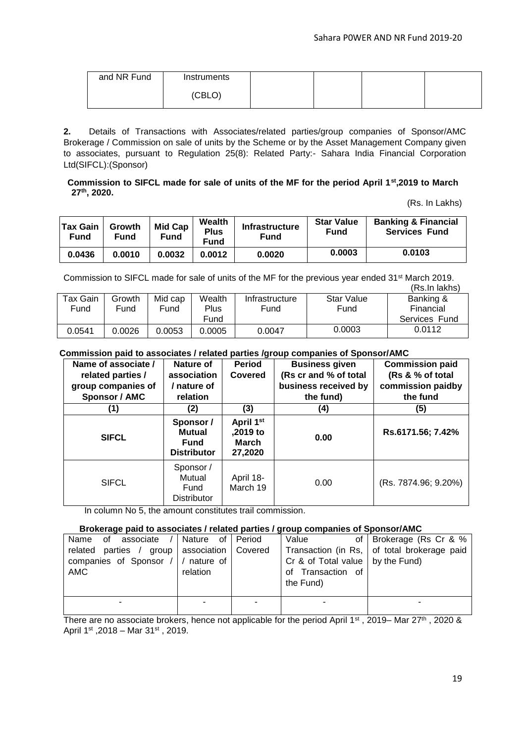| and NR Fund | Instruments |  |  |
|-------------|-------------|--|--|
|             | (CBLO)      |  |  |

**2.** Details of Transactions with Associates/related parties/group companies of Sponsor/AMC Brokerage / Commission on sale of units by the Scheme or by the Asset Management Company given to associates, pursuant to Regulation 25(8): Related Party:- Sahara India Financial Corporation Ltd(SIFCL):(Sponsor)

#### **Commission to SIFCL made for sale of units of the MF for the period April 1st,2019 to March 27 th, 2020.**

(Rs. In Lakhs)

| Tax Gain<br><b>Fund</b> | Growth<br>Fund | <b>Mid Cap</b><br>Fund | Wealth<br><b>Plus</b><br>Fund | <b>Infrastructure</b><br><b>Fund</b> | <b>Star Value</b><br><b>Fund</b> | <b>Banking &amp; Financial</b><br><b>Services Fund</b> |
|-------------------------|----------------|------------------------|-------------------------------|--------------------------------------|----------------------------------|--------------------------------------------------------|
| 0.0436                  | 0.0010         | 0.0032                 | 0.0012                        | 0.0020                               | 0.0003                           | 0.0103                                                 |

Commission to SIFCL made for sale of units of the MF for the previous year ended 31<sup>st</sup> March 2019. (Rs.In lakhs)

|          |        |         |        |                |                   | .             |
|----------|--------|---------|--------|----------------|-------------------|---------------|
| Tax Gain | Growth | Mid cap | Wealth | Infrastructure | <b>Star Value</b> | Banking &     |
| Fund     | Fund   | Fund    | Plus   | Fund           | Fund              | Financial     |
|          |        |         | Fund   |                |                   | Services Fund |
| 0.0541   | 0.0026 | 0.0053  | 0.0005 | 0.0047         | 0.0003            | 0.0112        |

### **Commission paid to associates / related parties /group companies of Sponsor/AMC**

| Name of associate /  | <b>Nature of</b>                                         | <b>Period</b>                             | <b>Business given</b> | <b>Commission paid</b> |
|----------------------|----------------------------------------------------------|-------------------------------------------|-----------------------|------------------------|
| related parties /    | association                                              | Covered                                   | (Rs cr and % of total | (Rs & % of total       |
| group companies of   | / nature of                                              |                                           | business received by  | commission paidby      |
| <b>Sponsor / AMC</b> | relation                                                 |                                           | the fund)             | the fund               |
| (1)                  | (2)                                                      | (3)                                       | (4)                   | (5)                    |
| <b>SIFCL</b>         | Sponsor /<br>Mutual<br><b>Fund</b><br><b>Distributor</b> | April 1st<br>,2019 to<br>March<br>27,2020 | 0.00                  | Rs.6171.56; 7.42%      |
| <b>SIFCL</b>         | Sponsor /<br>Mutual<br>Fund<br><b>Distributor</b>        | April 18-<br>March 19                     | 0.00                  | (Rs. 7874.96; 9.20%)   |

In column No 5, the amount constitutes trail commission.

#### **Brokerage paid to associates / related parties / group companies of Sponsor/AMC**

| Name<br>0f<br>associate<br>parties / group  <br>related | Nature<br>association   Covered | of I Period | Value<br>of                                                            | Brokerage (Rs Cr & %<br>Transaction (in Rs, of total brokerage paid |
|---------------------------------------------------------|---------------------------------|-------------|------------------------------------------------------------------------|---------------------------------------------------------------------|
| companies of Sponsor /   / nature of<br>AMC             | relation                        |             | Cr & of Total value $ $ by the Fund)<br>of Transaction of<br>the Fund) |                                                                     |
| ۰                                                       |                                 |             |                                                                        |                                                                     |

There are no associate brokers, hence not applicable for the period April 1<sup>st</sup>, 2019– Mar 27<sup>th</sup>, 2020 & April 1st ,2018 – Mar 31st , 2019.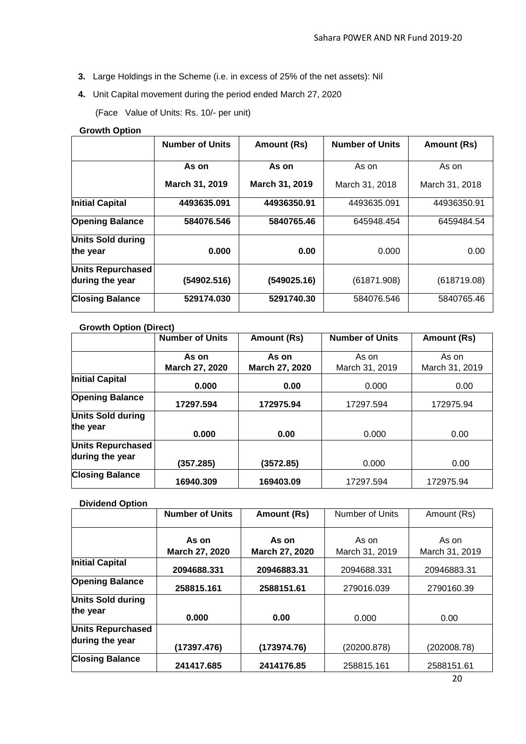- **3.** Large Holdings in the Scheme (i.e. in excess of 25% of the net assets): Nil
- **4.** Unit Capital movement during the period ended March 27, 2020

(Face Value of Units: Rs. 10/- per unit)

### **Growth Option**

|                                      | <b>Number of Units</b> | Amount (Rs)    | <b>Number of Units</b> | Amount (Rs)    |
|--------------------------------------|------------------------|----------------|------------------------|----------------|
|                                      | As on                  | As on          | As on                  | As on          |
|                                      | March 31, 2019         | March 31, 2019 | March 31, 2018         | March 31, 2018 |
| <b>Initial Capital</b>               | 4493635.091            | 44936350.91    | 4493635.091            | 44936350.91    |
| <b>Opening Balance</b>               | 584076.546             | 5840765.46     | 645948.454             | 6459484.54     |
| <b>Units Sold during</b><br>the year | 0.000                  | 0.00           | 0.000                  | 0.00           |
| Units Repurchased<br>during the year | (54902.516)            | (549025.16)    | (61871.908)            | (618719.08)    |
| <b>Closing Balance</b>               | 529174.030             | 5291740.30     | 584076.546             | 5840765.46     |

# **Growth Option (Direct)**

|                          | <b>Number of Units</b> | Amount (Rs)    | <b>Number of Units</b> | Amount (Rs)    |
|--------------------------|------------------------|----------------|------------------------|----------------|
|                          | As on                  | As on          | As on                  | As on          |
|                          | March 27, 2020         | March 27, 2020 | March 31, 2019         | March 31, 2019 |
| <b>Initial Capital</b>   | 0.000                  | 0.00           | 0.000                  | 0.00           |
| <b>Opening Balance</b>   | 17297.594              | 172975.94      | 17297.594              | 172975.94      |
| <b>Units Sold during</b> |                        |                |                        |                |
| the year                 | 0.000                  | 0.00           | 0.000                  | 0.00           |
| Units Repurchased        |                        |                |                        |                |
| during the year          | (357.285)              | (3572.85)      | 0.000                  | 0.00           |
| <b>Closing Balance</b>   | 16940.309              | 169403.09      | 17297.594              | 172975.94      |

#### **Dividend Option**

|                                             | <b>Number of Units</b>  | Amount (Rs)             | Number of Units         | Amount (Rs)             |
|---------------------------------------------|-------------------------|-------------------------|-------------------------|-------------------------|
|                                             | As on<br>March 27, 2020 | As on<br>March 27, 2020 | As on<br>March 31, 2019 | As on<br>March 31, 2019 |
| <b>Initial Capital</b>                      | 2094688.331             | 20946883.31             | 2094688.331             | 20946883.31             |
| <b>Opening Balance</b>                      | 258815.161              | 2588151.61              | 279016.039              | 2790160.39              |
| <b>Units Sold during</b><br>the year        | 0.000                   | 0.00                    | 0.000                   | 0.00                    |
| <b>Units Repurchased</b><br>during the year | (17397.476)             | (173974.76)             | (20200.878)             | (202008.78)             |
| <b>Closing Balance</b>                      | 241417.685              | 2414176.85              | 258815.161              | 2588151.61              |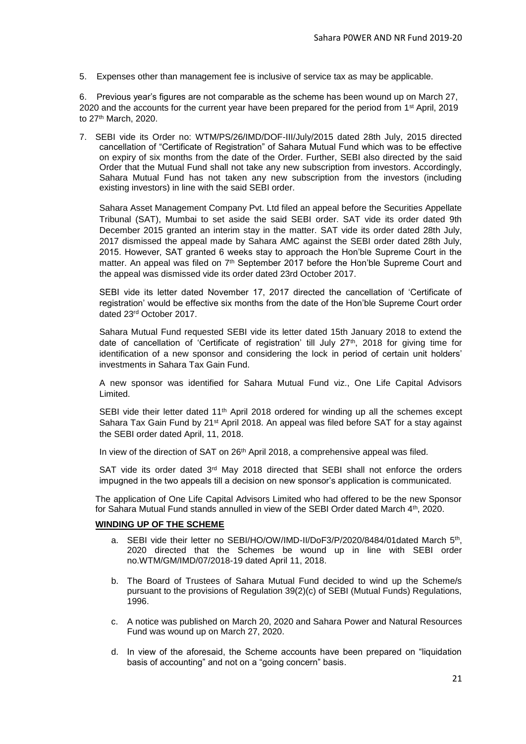5. Expenses other than management fee is inclusive of service tax as may be applicable.

6. Previous year's figures are not comparable as the scheme has been wound up on March 27, 2020 and the accounts for the current year have been prepared for the period from 1<sup>st</sup> April, 2019 to 27th March, 2020.

7. SEBI vide its Order no: WTM/PS/26/IMD/DOF-III/July/2015 dated 28th July, 2015 directed cancellation of "Certificate of Registration" of Sahara Mutual Fund which was to be effective on expiry of six months from the date of the Order. Further, SEBI also directed by the said Order that the Mutual Fund shall not take any new subscription from investors. Accordingly, Sahara Mutual Fund has not taken any new subscription from the investors (including existing investors) in line with the said SEBI order.

Sahara Asset Management Company Pvt. Ltd filed an appeal before the Securities Appellate Tribunal (SAT), Mumbai to set aside the said SEBI order. SAT vide its order dated 9th December 2015 granted an interim stay in the matter. SAT vide its order dated 28th July, 2017 dismissed the appeal made by Sahara AMC against the SEBI order dated 28th July, 2015. However, SAT granted 6 weeks stay to approach the Hon'ble Supreme Court in the matter. An appeal was filed on  $7<sup>th</sup>$  September 2017 before the Hon'ble Supreme Court and the appeal was dismissed vide its order dated 23rd October 2017.

SEBI vide its letter dated November 17, 2017 directed the cancellation of 'Certificate of registration' would be effective six months from the date of the Hon'ble Supreme Court order dated 23rd October 2017.

Sahara Mutual Fund requested SEBI vide its letter dated 15th January 2018 to extend the date of cancellation of 'Certificate of registration' till July 27<sup>th</sup>, 2018 for giving time for identification of a new sponsor and considering the lock in period of certain unit holders' investments in Sahara Tax Gain Fund.

A new sponsor was identified for Sahara Mutual Fund viz., One Life Capital Advisors Limited.

SEBI vide their letter dated  $11<sup>th</sup>$  April 2018 ordered for winding up all the schemes except Sahara Tax Gain Fund by 21<sup>st</sup> April 2018. An appeal was filed before SAT for a stay against the SEBI order dated April, 11, 2018.

In view of the direction of SAT on 26<sup>th</sup> April 2018, a comprehensive appeal was filed.

SAT vide its order dated  $3<sup>rd</sup>$  May 2018 directed that SEBI shall not enforce the orders impugned in the two appeals till a decision on new sponsor's application is communicated.

The application of One Life Capital Advisors Limited who had offered to be the new Sponsor for Sahara Mutual Fund stands annulled in view of the SEBI Order dated March 4th, 2020.

#### **WINDING UP OF THE SCHEME**

- a. SEBI vide their letter no SEBI/HO/OW/IMD-II/DoF3/P/2020/8484/01dated March 5<sup>th</sup>, 2020 directed that the Schemes be wound up in line with SEBI order no.WTM/GM/IMD/07/2018-19 dated April 11, 2018.
- b. The Board of Trustees of Sahara Mutual Fund decided to wind up the Scheme/s pursuant to the provisions of Regulation 39(2)(c) of SEBI (Mutual Funds) Regulations, 1996.
- c. A notice was published on March 20, 2020 and Sahara Power and Natural Resources Fund was wound up on March 27, 2020.
- d. In view of the aforesaid, the Scheme accounts have been prepared on "liquidation basis of accounting" and not on a "going concern" basis.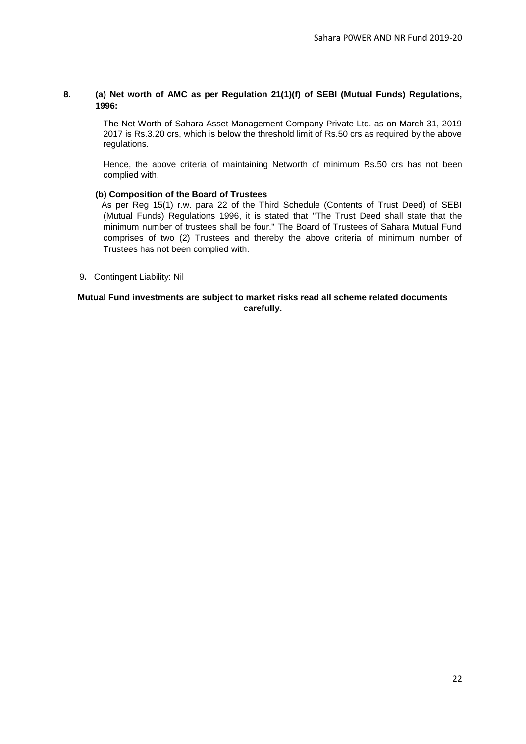#### **8. (a) Net worth of AMC as per Regulation 21(1)(f) of SEBI (Mutual Funds) Regulations, 1996:**

The Net Worth of Sahara Asset Management Company Private Ltd. as on March 31, 2019 2017 is Rs.3.20 crs, which is below the threshold limit of Rs.50 crs as required by the above regulations.

Hence, the above criteria of maintaining Networth of minimum Rs.50 crs has not been complied with.

#### **(b) Composition of the Board of Trustees**

 As per Reg 15(1) r.w. para 22 of the Third Schedule (Contents of Trust Deed) of SEBI (Mutual Funds) Regulations 1996, it is stated that "The Trust Deed shall state that the minimum number of trustees shall be four." The Board of Trustees of Sahara Mutual Fund comprises of two (2) Trustees and thereby the above criteria of minimum number of Trustees has not been complied with.

9**.** Contingent Liability: Nil

#### **Mutual Fund investments are subject to market risks read all scheme related documents carefully.**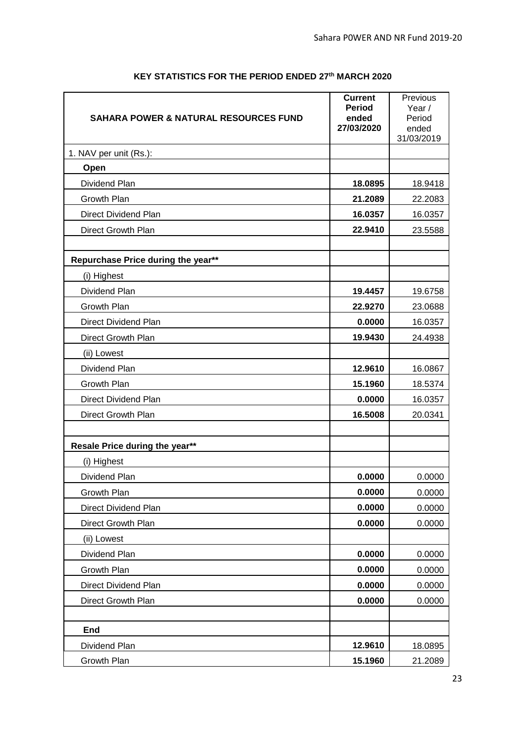| <b>SAHARA POWER &amp; NATURAL RESOURCES FUND</b> | <b>Current</b><br><b>Period</b><br>ended<br>27/03/2020 | Previous<br>Year /<br>Period<br>ended<br>31/03/2019 |
|--------------------------------------------------|--------------------------------------------------------|-----------------------------------------------------|
| 1. NAV per unit (Rs.):                           |                                                        |                                                     |
| Open                                             |                                                        |                                                     |
| Dividend Plan                                    | 18.0895                                                | 18.9418                                             |
| <b>Growth Plan</b>                               | 21.2089                                                | 22.2083                                             |
| <b>Direct Dividend Plan</b>                      | 16.0357                                                | 16.0357                                             |
| Direct Growth Plan                               | 22.9410                                                | 23.5588                                             |
|                                                  |                                                        |                                                     |
| Repurchase Price during the year**               |                                                        |                                                     |
| (i) Highest                                      |                                                        |                                                     |
| <b>Dividend Plan</b>                             | 19.4457                                                | 19.6758                                             |
| <b>Growth Plan</b>                               | 22.9270                                                | 23.0688                                             |
| Direct Dividend Plan                             | 0.0000                                                 | 16.0357                                             |
| Direct Growth Plan                               | 19.9430                                                | 24.4938                                             |
| (ii) Lowest                                      |                                                        |                                                     |
| Dividend Plan                                    | 12.9610                                                | 16.0867                                             |
| Growth Plan                                      | 15.1960                                                | 18.5374                                             |
| Direct Dividend Plan                             | 0.0000                                                 | 16.0357                                             |
| Direct Growth Plan                               | 16.5008                                                | 20.0341                                             |
|                                                  |                                                        |                                                     |
| Resale Price during the year**                   |                                                        |                                                     |
| (i) Highest                                      |                                                        |                                                     |
| Dividend Plan                                    | 0.0000                                                 | 0.0000                                              |
| Growth Plan                                      | 0.0000                                                 | 0.0000                                              |
| <b>Direct Dividend Plan</b>                      | 0.0000                                                 | 0.0000                                              |
| Direct Growth Plan                               | 0.0000                                                 | 0.0000                                              |
| (ii) Lowest                                      |                                                        |                                                     |
| Dividend Plan                                    | 0.0000                                                 | 0.0000                                              |
| Growth Plan                                      | 0.0000                                                 | 0.0000                                              |
| Direct Dividend Plan                             | 0.0000                                                 | 0.0000                                              |
| Direct Growth Plan                               | 0.0000                                                 | 0.0000                                              |
|                                                  |                                                        |                                                     |
| <b>End</b>                                       |                                                        |                                                     |
| Dividend Plan                                    | 12.9610                                                | 18.0895                                             |
| Growth Plan                                      | 15.1960                                                | 21.2089                                             |

# **KEY STATISTICS FOR THE PERIOD ENDED 27th MARCH 2020**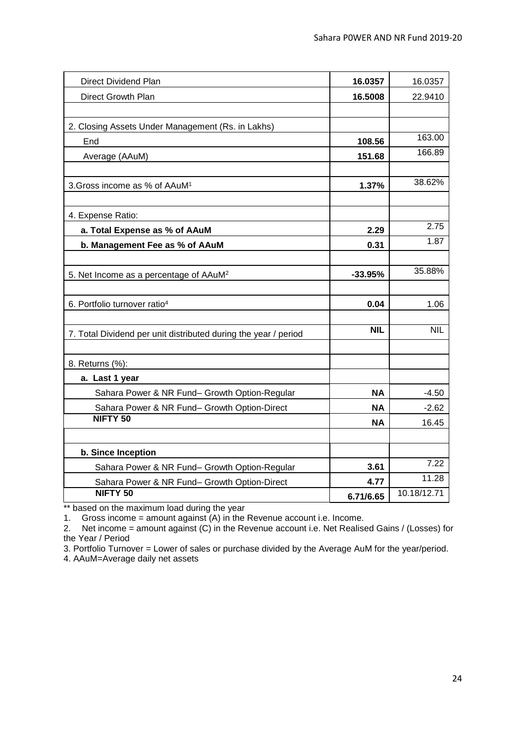| <b>Direct Dividend Plan</b>                                     | 16.0357    | 16.0357     |
|-----------------------------------------------------------------|------------|-------------|
| Direct Growth Plan                                              | 16.5008    | 22.9410     |
|                                                                 |            |             |
| 2. Closing Assets Under Management (Rs. in Lakhs)               |            |             |
| End                                                             | 108.56     | 163.00      |
| Average (AAuM)                                                  | 151.68     | 166.89      |
|                                                                 |            |             |
| 3. Gross income as % of AAuM <sup>1</sup>                       | 1.37%      | 38.62%      |
|                                                                 |            |             |
| 4. Expense Ratio:                                               |            |             |
| a. Total Expense as % of AAuM                                   | 2.29       | 2.75        |
| b. Management Fee as % of AAuM                                  | 0.31       | 1.87        |
|                                                                 |            |             |
| 5. Net Income as a percentage of AAuM <sup>2</sup>              | $-33.95%$  | 35.88%      |
|                                                                 |            |             |
| 6. Portfolio turnover ratio <sup>4</sup>                        | 0.04       | 1.06        |
|                                                                 |            |             |
| 7. Total Dividend per unit distributed during the year / period | <b>NIL</b> | <b>NIL</b>  |
|                                                                 |            |             |
| 8. Returns (%):                                                 |            |             |
| a. Last 1 year                                                  |            |             |
| Sahara Power & NR Fund- Growth Option-Regular                   | <b>NA</b>  | $-4.50$     |
| Sahara Power & NR Fund- Growth Option-Direct                    | <b>NA</b>  | $-2.62$     |
| NIFTY <sub>50</sub>                                             | NΑ         | 16.45       |
|                                                                 |            |             |
| b. Since Inception                                              |            |             |
| Sahara Power & NR Fund- Growth Option-Regular                   | 3.61       | 7.22        |
| Sahara Power & NR Fund- Growth Option-Direct                    | 4.77       | 11.28       |
| NIFTY <sub>50</sub>                                             | 6.71/6.65  | 10.18/12.71 |

\*\* based on the maximum load during the year

1. Gross income = amount against (A) in the Revenue account i.e. Income.

2. Net income = amount against (C) in the Revenue account i.e. Net Realised Gains / (Losses) for the Year / Period

3. Portfolio Turnover = Lower of sales or purchase divided by the Average AuM for the year/period.

4. AAuM=Average daily net assets